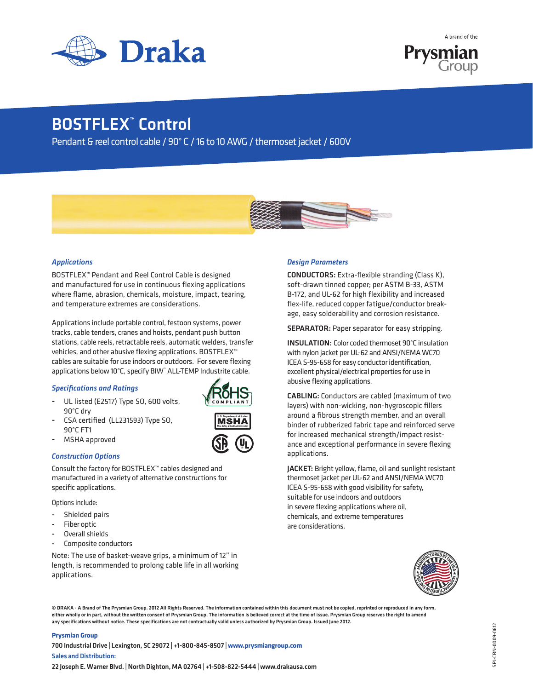



# BOSTFLEX<sup>™</sup> Control

Pendant & reel control cable / 90° C / 16 to 10 AWG / thermoset jacket / 600V



## *Applications*

BOSTFLEX™ Pendant and Reel Control Cable is designed and manufactured for use in continuous flexing applications where flame, abrasion, chemicals, moisture, impact, tearing, and temperature extremes are considerations.

Applications include portable control, festoon systems, power tracks, cable tenders, cranes and hoists, pendant push button stations, cable reels, retractable reels, automatic welders, transfer vehicles, and other abusive flexing applications. BOSTFLEX™ cables are suitable for use indoors or outdoors. For severe flexing applications below 10°C, specify BIW™ALL-TEMP Industrite cable.

## *Specifications and Ratings*

- UL listed (E2517) Type SO, 600 volts, 90°C dry
- CSA certified (LL231593) Type SO, 90°C FT1
- MSHA approved

## *Construction Options*

Consult the factory for BOSTFLEX™ cables designed and manufactured in a variety of alternative constructions for specific applications.

Options include:

- Shielded pairs
- Fiber optic
- Overall shields
- Composite conductors

Note: The use of basket-weave grips, a minimum of 12" in length, is recommended to prolong cable life in all working applications.

## *Design Parameters*

CONDUCTORS: Extra-flexible stranding (Class K), soft-drawn tinned copper; per ASTM B-33, ASTM B-172, and UL-62 for high flexibility and increased flex-life, reduced copper fatigue/conductor breakage, easy solderability and corrosion resistance.

SEPARATOR: Paper separator for easy stripping.

INSULATION: Color coded thermoset 90°C insulation with nylon jacket per UL-62 and ANSI/NEMA WC70 ICEA S-95-658 for easy conductor identification, excellent physical/electrical properties for use in abusive flexing applications.

CABLING: Conductors are cabled (maximum of two layers) with non-wicking, non-hygroscopic fillers around a fibrous strength member, and an overall binder of rubberized fabric tape and reinforced serve for increased mechanical strength/impact resistance and exceptional performance in severe flexing applications.

JACKET: Bright yellow, flame, oil and sunlight resistant thermoset jacket per UL-62 and ANSI/NEMA WC70 ICEA S-95-658 with good visibility for safety, suitable for use indoors and outdoors in severe flexing applications where oil, chemicals, and extreme temperatures are considerations.



© DRAKA - A Brand of The Prysmian Group. 2012 All Rights Reserved. The information contained within this document must not be copied, reprinted or reproduced in any form, either wholly or in part, without the written consent of Prysmian Group. The information is believed correct at the time of issue. Prysmian Group reserves the right to amend any specifications without notice. These specifications are not contractually valid unless authorized by Prysmian Group. Issued June 2012.

 $\overline{\mathsf{MSH}}$ **Mine Safety & Health Administration**

### **Prysmian Group**

700 Industrial Drive | Lexington, SC 29072 | +1-800-845-8507 | **www.prysmiangroup.com** Sales and Distribution:

22 Joseph E. Warner Blvd. | North Dighton, MA 02764 | +1-508-822-5444 | www.drakausa.com